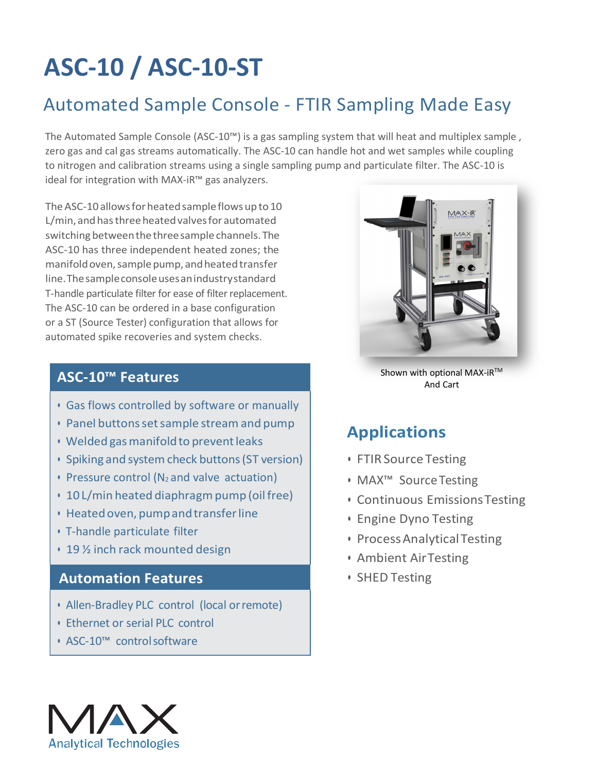# **ASC-10 / ASC-10-ST**

## Automated Sample Console - FTIR Sampling Made Easy

The Automated Sample Console (ASC-10™) is a gas sampling system that will heat and multiplex sample , zero gas and cal gas streams automatically. The ASC-10 can handle hot and wet samples while coupling to nitrogen and calibration streams using a single sampling pump and particulate filter. The ASC-10 is ideal for integration with MAX-iR™ gas analyzers.

The ASC-10 allows for heated sample flows up to 10 L/min, and has three heated valves for automated switching between the three sample channels. The ASC-10 has three independent heated zones; the manifold oven, sample pump, and heated transfer line.Thesampleconsoleusesanindustrystandard T-handle particulate filter for ease of filter replacement. The ASC-10 can be ordered in a base configuration or a ST (Source Tester) configuration that allows for automated spike recoveries and system checks.

#### **ASC-10™ Features**

- Gas flows controlled by software or manually
- Panel buttonssetsample streamand pump
- Welded gas manifold to prevent leaks
- Spiking and system check buttons (ST version)
- $\cdot$  Pressure control (N<sub>2</sub> and valve actuation)
- 10 L/min heated diaphragm pump (oil free)
- Heatedoven, pumpandtransferline
- T-handle particulate filter
- 19 ½ inch rack mounted design

#### **Automation Features**

- Allen-Bradley PLC control (local orremote)
- Ethernet or serial PLC control
- ASC-10™ controlsoftware



Shown with optional MAX-iR™ And Cart

### **Applications**

- FTIR Source Testing
- MAX™ SourceTesting
- Continuous EmissionsTesting
- Engine Dyno Testing
- ProcessAnalyticalTesting
- Ambient AirTesting
- SHED Testing